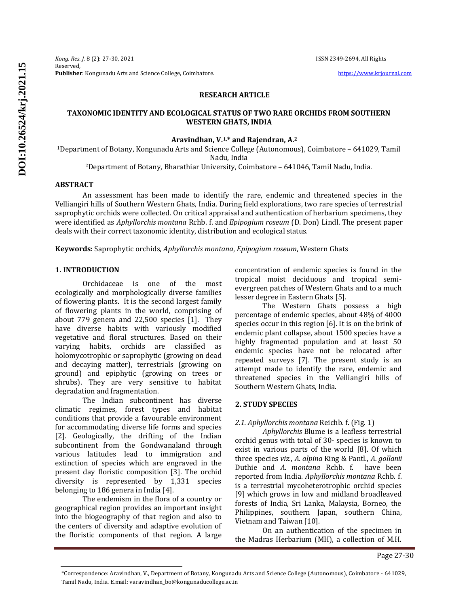*Kong. Res. J.* 8 (2): 27-30, 2021 ISSN 2349-2694, All Rights Reserved, **Publisher**: Kongunadu Arts and Science College, Coimbatore. **[https://www.krjournal.com](https://www.krjournal.com/)** 

### **RESEARCH ARTICLE**

## **TAXONOMIC IDENTITY AND ECOLOGICAL STATUS OF TWO RARE ORCHIDS FROM SOUTHERN WESTERN GHATS, INDIA**

#### **Aravindhan, V.1,\* and Rajendran, A.<sup>2</sup>**

<sup>1</sup>Department of Botany, Kongunadu Arts and Science College (Autonomous), Coimbatore – 641029, Tamil Nadu, India

<sup>2</sup>Department of Botany, Bharathiar University, Coimbatore – 641046, Tamil Nadu, India.

#### **ABSTRACT**

An assessment has been made to identify the rare, endemic and threatened species in the Velliangiri hills of Southern Western Ghats, India. During field explorations, two rare species of terrestrial saprophytic orchids were collected. On critical appraisal and authentication of herbarium specimens, they were identified as *Aphyllorchis montana* Rchb. f. and *Epipogium roseum* (D. Don) Lindl. The present paper deals with their correct taxonomic identity, distribution and ecological status.

**Keywords:** Saprophytic orchids, *Aphyllorchis montana*, *Epipogium roseum*, Western Ghats

## **1. INTRODUCTION**

Orchidaceae is one of the most ecologically and morphologically diverse families of flowering plants. It is the second largest family of flowering plants in the world, comprising of about 779 genera and 22,500 species [1]. They have diverse habits with variously modified vegetative and floral structures. Based on their varying habits, orchids are classified as holomycotrophic or saprophytic (growing on dead and decaying matter), terrestrials (growing on ground) and epiphytic (growing on trees or shrubs). They are very sensitive to habitat degradation and fragmentation.

The Indian subcontinent has diverse climatic regimes, forest types and habitat conditions that provide a favourable environment for accommodating diverse life forms and species [2]. Geologically, the drifting of the Indian subcontinent from the Gondwanaland through various latitudes lead to immigration and extinction of species which are engraved in the present day floristic composition [3]. The orchid diversity is represented by 1,331 species belonging to 186 genera in India [4].

The endemism in the flora of a country or geographical region provides an important insight into the biogeography of that region and also to the centers of diversity and adaptive evolution of the floristic components of that region. A large concentration of endemic species is found in the tropical moist deciduous and tropical semievergreen patches of Western Ghats and to a much lesser degree in Eastern Ghats [5].

The Western Ghats possess a high percentage of endemic species, about 48% of 4000 species occur in this region [6]. It is on the brink of endemic plant collapse, about 1500 species have a highly fragmented population and at least 50 endemic species have not be relocated after repeated surveys [7]. The present study is an attempt made to identify the rare, endemic and threatened species in the Velliangiri hills of Southern Western Ghats, India.

### **2. STUDY SPECIES**

*2.1. Aphyllorchis montana* Reichb. f. (Fig. 1)

*Aphyllorchis* Blume is a leafless terrestrial orchid genus with total of 30- species is known to exist in various parts of the world [8]. Of which three species *viz*., *A. alpina* King & Pantl., *A. gollanii* Duthie and *A. montana* Rchb. f. have been reported from India. *Aphyllorchis montana* Rchb. f. is a terrestrial mycoheterotrophic orchid species [9] which grows in low and midland broadleaved forests of India, Sri Lanka, Malaysia, Borneo, the Philippines, southern Japan, southern China, Vietnam and Taiwan [10].

On an authentication of the specimen in the Madras Herbarium (MH), a collection of M.H.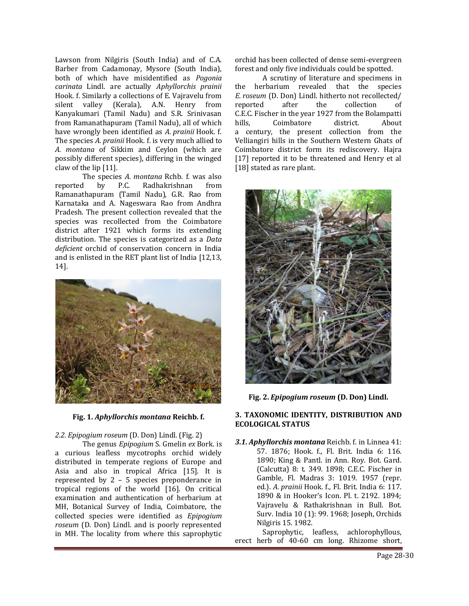Lawson from Nilgiris (South India) and of C.A. Barber from Cadamonay, Mysore (South India), both of which have misidentified as *Pogonia carinata* Lindl. are actually *Aphyllorchis prainii*  Hook. f. Similarly a collections of E. Vajravelu from silent valley (Kerala), A.N. Henry from Kanyakumari (Tamil Nadu) and S.R. Srinivasan from Ramanathapuram (Tamil Nadu), all of which have wrongly been identified as *A. prainii* Hook. f. The species *A. prainii* Hook. f. is very much allied to *A. montana* of Sikkim and Ceylon (which are possibly different species), differing in the winged claw of the lip [11].

The species *A. montana* Rchb. f. was also reported by P.C. Radhakrishnan from Ramanathapuram (Tamil Nadu), G.R. Rao from Karnataka and A. Nageswara Rao from Andhra Pradesh. The present collection revealed that the species was recollected from the Coimbatore district after 1921 which forms its extending distribution. The species is categorized as a *Data deficient* orchid of conservation concern in India and is enlisted in the RET plant list of India [12,13, 14].



**Fig. 1.** *Aphyllorchis montana* **Reichb. f.**

## *2.2. Epipogium roseum* (D. Don) Lindl. (Fig. 2)

The genus *Epipogium* S. Gmelin *ex* Bork. is a curious leafless mycotrophs orchid widely distributed in temperate regions of Europe and Asia and also in tropical Africa [15]. It is represented by 2 – 5 species preponderance in tropical regions of the world [16]. On critical examination and authentication of herbarium at MH, Botanical Survey of India, Coimbatore, the collected species were identified as *Epipogium roseum* (D. Don) Lindl. and is poorly represented in MH. The locality from where this saprophytic

orchid has been collected of dense semi-evergreen forest and only five individuals could be spotted.

A scrutiny of literature and specimens in the herbarium revealed that the species *E. roseum* (D. Don) Lindl. hitherto not recollected/ reported after the collection of C.E.C. Fischer in the year 1927 from the Bolampatti hills, Coimbatore district. About a century, the present collection from the Velliangiri hills in the Southern Western Ghats of Coimbatore district form its rediscovery. Hajra [17] reported it to be threatened and Henry et al [18] stated as rare plant.



**Fig. 2.** *Epipogium roseum* **(D. Don) Lindl.**

## **3. TAXONOMIC IDENTITY, DISTRIBUTION AND ECOLOGICAL STATUS**

*3.1. Aphyllorchis montana* Reichb. f. in Linnea 41: 57. 1876; Hook. f., Fl. Brit. India 6: 116. 1890; King & Pantl. in Ann. Roy. Bot. Gard. (Calcutta) 8: t. 349. 1898; C.E.C. Fischer in Gamble, Fl. Madras 3: 1019. 1957 (repr. ed.). *A. prainii* Hook. f., Fl. Brit. India 6: 117. 1890 & in Hooker's Icon. Pl. t. 2192. 1894; Vajravelu & Rathakrishnan in Bull. Bot. Surv. India 10 (1): 99. 1968; Joseph, Orchids Nilgiris 15. 1982.

Saprophytic, leafless, achlorophyllous, erect herb of 40-60 cm long. Rhizome short,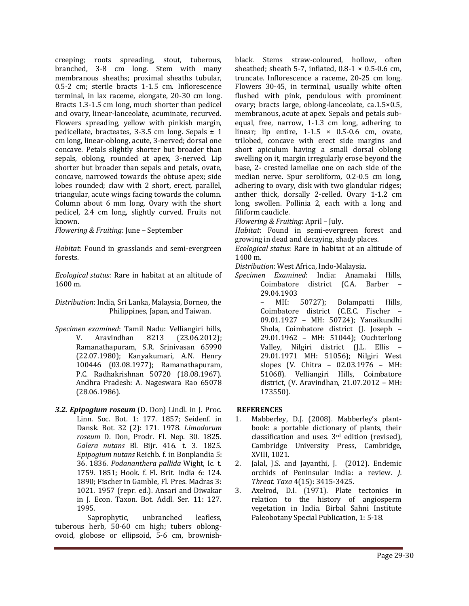creeping; roots spreading, stout, tuberous, branched, 3-8 cm long. Stem with many membranous sheaths; proximal sheaths tubular, 0.5-2 cm; sterile bracts 1-1.5 cm. Inflorescence terminal, in lax raceme, elongate, 20-30 cm long. Bracts 1.3-1.5 cm long, much shorter than pedicel and ovary, linear-lanceolate, acuminate, recurved. Flowers spreading, yellow with pinkish margin, pedicellate, bracteates, 3-3.5 cm long. Sepals  $\pm$  1 cm long, linear-oblong, acute, 3-nerved; dorsal one concave. Petals slightly shorter but broader than sepals, oblong, rounded at apex, 3-nerved. Lip shorter but broader than sepals and petals, ovate, concave, narrowed towards the obtuse apex; side lobes rounded; claw with 2 short, erect, parallel, triangular, acute wings facing towards the column. Column about 6 mm long. Ovary with the short pedicel, 2.4 cm long, slightly curved. Fruits not known.

*Flowering & Fruiting*: June – September

*Habitat*: Found in grasslands and semi-evergreen forests.

*Ecological status*: Rare in habitat at an altitude of 1600 m.

*Distribution*: India, Sri Lanka, Malaysia, Borneo, the Philippines, Japan, and Taiwan.

- *Specimen examined*: Tamil Nadu: Velliangiri hills, V. Aravindhan 8213 (23.06.2012); Ramanathapuram, S.R. Srinivasan 65990 (22.07.1980); Kanyakumari, A.N. Henry 100446 (03.08.1977); Ramanathapuram, P.C. Radhakrishnan 50720 (18.08.1967). Andhra Pradesh: A. Nageswara Rao 65078 (28.06.1986).
- *3.2. Epipogium roseum* (D. Don) Lindl. in J. Proc. Linn. Soc. Bot. 1: 177. 1857; Seidenf. in Dansk. Bot. 32 (2): 171. 1978. *Limodorum roseum* D. Don, Prodr. Fl. Nep. 30. 1825. *Galera nutans* Bl. Bijr. 416. t. 3. 1825. *Epipogium nutans* Reichb. f. in Bonplandia 5: 36. 1836. *Podananthera pallida* Wight, Ic. t. 1759. 1851; Hook. f. Fl. Brit. India 6: 124. 1890; Fischer in Gamble, Fl. Pres. Madras 3: 1021. 1957 (repr. ed.). Ansari and Diwakar in J. Econ. Taxon. Bot. Addl. Ser. 11: 127. 1995.

Saprophytic, unbranched leafless, tuberous herb, 50-60 cm high; tubers oblongovoid, globose or ellipsoid, 5-6 cm, brownishblack. Stems straw-coloured, hollow, often sheathed; sheath 5-7, inflated,  $0.8-1 \times 0.5-0.6$  cm, truncate. Inflorescence a raceme, 20-25 cm long. Flowers 30-45, in terminal, usually white often flushed with pink, pendulous with prominent ovary; bracts large, oblong-lanceolate, ca.1.5×0.5, membranous, acute at apex. Sepals and petals subequal, free, narrow, 1-1.3 cm long, adhering to linear; lip entire,  $1-1.5 \times 0.5-0.6$  cm, ovate, trilobed, concave with erect side margins and short apiculum having a small dorsal oblong swelling on it, margin irregularly erose beyond the base, 2- crested lamellae one on each side of the median nerve. Spur seroliform, 0.2-0.5 cm long, adhering to ovary, disk with two glandular ridges; anther thick, dorsally 2-celled. Ovary 1-1.2 cm long, swollen. Pollinia 2, each with a long and filiform caudicle.

*Flowering & Fruiting*: April – July.

*Habitat*: Found in semi-evergreen forest and growing in dead and decaying, shady places.

*Ecological status*: Rare in habitat at an altitude of 1400 m.

*Distribution*: West Africa, Indo-Malaysia.

*Specimen Examined*: India: Anamalai Hills, Coimbatore district (C.A. Barber – 29.04.1903

MH: 50727); Bolampatti Hills, Coimbatore district (C.E.C. Fischer – 09.01.1927 – MH: 50724); Yanaikundhi Shola, Coimbatore district (J. Joseph – 29.01.1962 – MH: 51044); Ouchterlong Valley, Nilgiri district (J.L. Ellis – 29.01.1971 MH: 51056); Nilgiri West slopes (V. Chitra – 02.03.1976 – MH: 51068). Velliangiri Hills, Coimbatore district, (V. Aravindhan, 21.07.2012 – MH: 173550).

# **REFERENCES**

- 1. Mabberley, D.J. (2008). Mabberley's plantbook: a portable dictionary of plants, their classification and uses.  $3<sup>rd</sup>$  edition (revised), Cambridge University Press, Cambridge, XVIII, 1021.
- 2. Jalal, J.S. and Jayanthi, J. (2012). Endemic orchids of Peninsular India: a review. *J. Threat. Taxa* 4(15): 3415-3425.
- 3. Axelrod, D.I. (1971). Plate tectonics in relation to the history of angiosperm vegetation in India. Birbal Sahni Institute Paleobotany Special Publication, 1: 5-18.